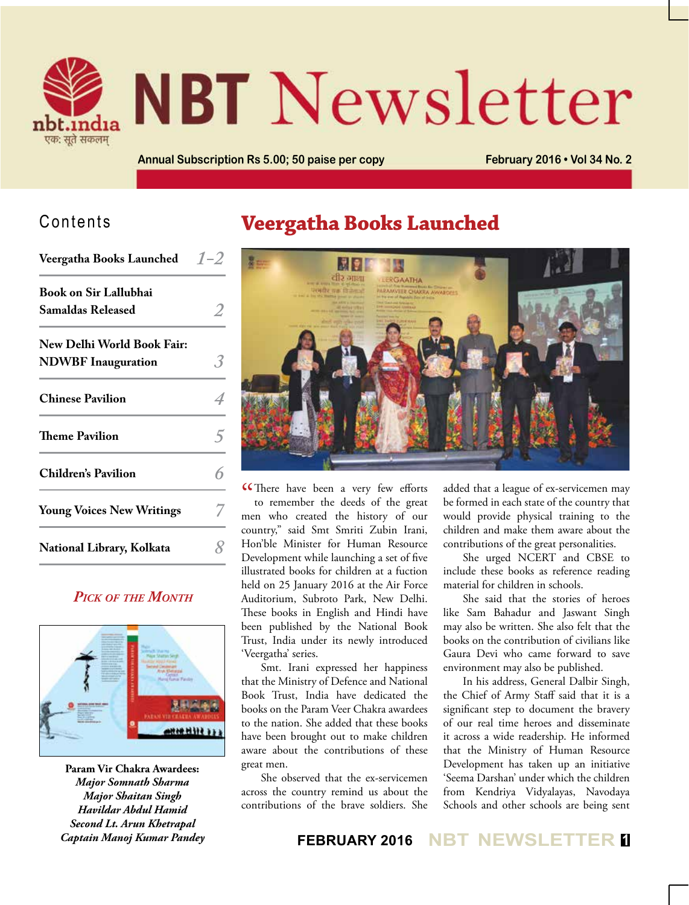

# **NBT** Newsletter

**Annual Subscription Rs 5.00; 50 paise per copy February 2016 • Vol 34 No. 2**

#### Contents

| <b>Veergatha Books Launched</b>  | $1 - 2$ |
|----------------------------------|---------|
| <b>Book on Sir Lallubhai</b>     |         |
| <b>Samaldas Released</b>         |         |
| New Delhi World Book Fair:       |         |
| <b>NDWBF</b> Inauguration        |         |
| <b>Chinese Pavilion</b>          |         |
| Theme Pavilion                   |         |
| <b>Children's Pavilion</b>       |         |
| <b>Young Voices New Writings</b> |         |
| National Library, Kolkata        |         |

#### *Pick of the Month*



**Param Vir Chakra Awardees:** *Major Somnath Sharma Major Shaitan Singh Havildar Abdul Hamid Second Lt. Arun Khetrapal Captain Manoj Kumar Pandey*

## **Veergatha Books Launched**



**C**There have been a very few efforts<br>to remember the deeds of the great to remember the deeds of the great men who created the history of our country," said Smt Smriti Zubin Irani, Hon'ble Minister for Human Resource Development while launching a set of five illustrated books for children at a fuction held on 25 January 2016 at the Air Force Auditorium, Subroto Park, New Delhi. These books in English and Hindi have been published by the National Book Trust, India under its newly introduced 'Veergatha' series.

Smt. Irani expressed her happiness that the Ministry of Defence and National Book Trust, India have dedicated the books on the Param Veer Chakra awardees to the nation. She added that these books have been brought out to make children aware about the contributions of these great men.

She observed that the ex-servicemen across the country remind us about the contributions of the brave soldiers. She

added that a league of ex-servicemen may be formed in each state of the country that would provide physical training to the children and make them aware about the contributions of the great personalities.

She urged NCERT and CBSE to include these books as reference reading material for children in schools.

She said that the stories of heroes like Sam Bahadur and Jaswant Singh may also be written. She also felt that the books on the contribution of civilians like Gaura Devi who came forward to save environment may also be published.

In his address, General Dalbir Singh, the Chief of Army Staff said that it is a significant step to document the bravery of our real time heroes and disseminate it across a wide readership. He informed that the Ministry of Human Resource Development has taken up an initiative 'Seema Darshan' under which the children from Kendriya Vidyalayas, Navodaya Schools and other schools are being sent

**FEBRUARY 2016 NBT NEWSLETTER <sup>1</sup>**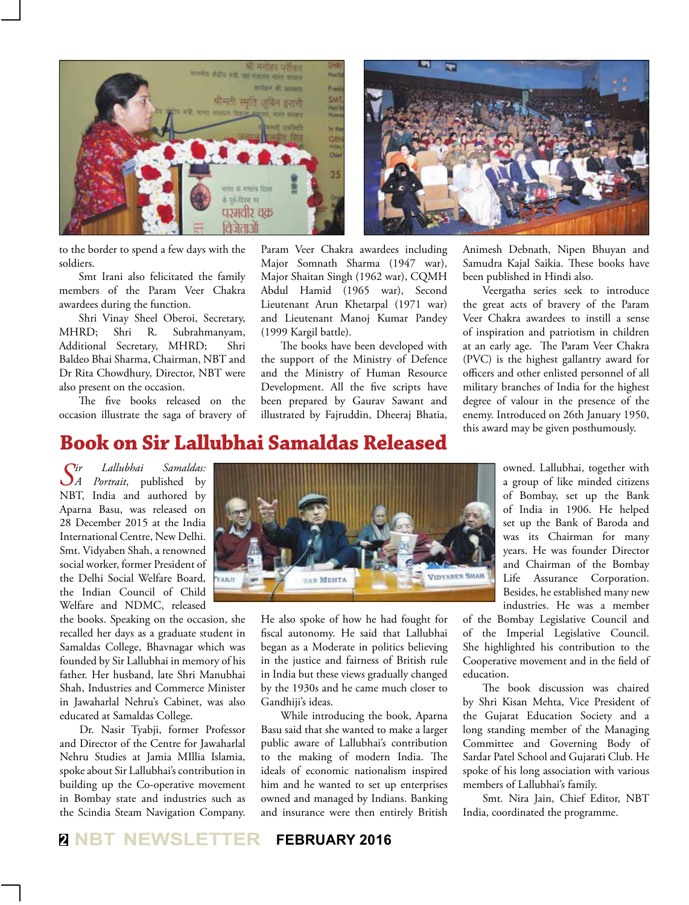



to the border to spend a few days with the soldiers.

Smt Irani also felicitated the family members of the Param Veer Chakra awardees during the function.

Shri Vinay Sheel Oberoi, Secretary, MHRD; Shri R. Subrahmanyam, Additional Secretary, MHRD; Shri Baldeo Bhai Sharma, Chairman, NBT and Dr Rita Chowdhury, Director, NBT were also present on the occasion.

The five books released on the occasion illustrate the saga of bravery of Param Veer Chakra awardees including Major Somnath Sharma (1947 war), Major Shaitan Singh (1962 war), CQMH Abdul Hamid (1965 war), Second Lieutenant Arun Khetarpal (1971 war) and Lieutenant Manoj Kumar Pandey (1999 Kargil battle).

The books have been developed with the support of the Ministry of Defence and the Ministry of Human Resource Development. All the five scripts have been prepared by Gaurav Sawant and illustrated by Fajruddin, Dheeraj Bhatia,

Animesh Debnath, Nipen Bhuyan and Samudra Kajal Saikia. These books have been published in Hindi also.

Veergatha series seek to introduce the great acts of bravery of the Param Veer Chakra awardees to instill a sense of inspiration and patriotism in children at an early age. The Param Veer Chakra (PVC) is the highest gallantry award for officers and other enlisted personnel of all military branches of India for the highest degree of valour in the presence of the enemy. Introduced on 26th January 1950, this award may be given posthumously.

#### **Book on Sir Lallubhai Samaldas Released**

*Sir Lallubhai Samaldas: A Portrait*, published by NBT, India and authored by Aparna Basu, was released on 28 December 2015 at the India International Centre, New Delhi. Smt. Vidyaben Shah, a renowned social worker, former President of the Delhi Social Welfare Board, the Indian Council of Child Welfare and NDMC, released

the books. Speaking on the occasion, she recalled her days as a graduate student in Samaldas College, Bhavnagar which was founded by Sir Lallubhai in memory of his father. Her husband, late Shri Manubhai Shah, Industries and Commerce Minister in Jawaharlal Nehru's Cabinet, was also educated at Samaldas College.

Dr. Nasir Tyabji, former Professor and Director of the Centre for Jawaharlal Nehru Studies at Jamia MIllia Islamia, spoke about Sir Lallubhai's contribution in building up the Co-operative movement in Bombay state and industries such as the Scindia Steam Navigation Company.



He also spoke of how he had fought for fiscal autonomy. He said that Lallubhai began as a Moderate in politics believing in the justice and fairness of British rule in India but these views gradually changed by the 1930s and he came much closer to Gandhiji's ideas.

While introducing the book, Aparna Basu said that she wanted to make a larger public aware of Lallubhai's contribution to the making of modern India. The ideals of economic nationalism inspired him and he wanted to set up enterprises owned and managed by Indians. Banking and insurance were then entirely British

owned. Lallubhai, together with a group of like minded citizens of Bombay, set up the Bank of India in 1906. He helped set up the Bank of Baroda and was its Chairman for many years. He was founder Director and Chairman of the Bombay Life Assurance Corporation. Besides, he established many new industries. He was a member

of the Bombay Legislative Council and of the Imperial Legislative Council. She highlighted his contribution to the Cooperative movement and in the field of education.

The book discussion was chaired by Shri Kisan Mehta, Vice President of the Gujarat Education Society and a long standing member of the Managing Committee and Governing Body of Sardar Patel School and Gujarati Club. He spoke of his long association with various members of Lallubhai's family.

Smt. Nira Jain, Chief Editor, NBT India, coordinated the programme.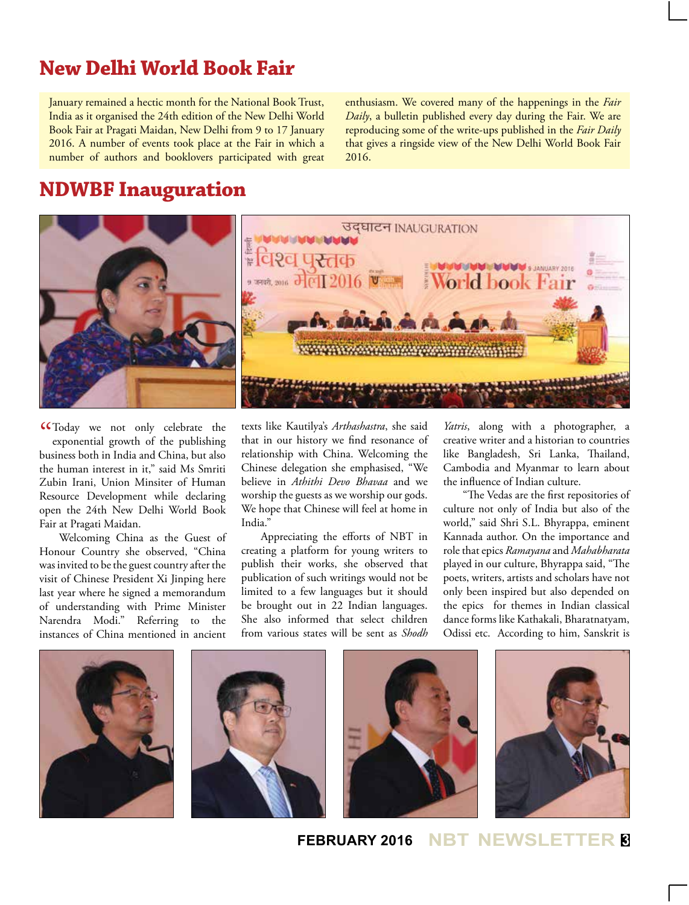## **New Delhi World Book Fair**

January remained a hectic month for the National Book Trust, India as it organised the 24th edition of the New Delhi World Book Fair at Pragati Maidan, New Delhi from 9 to 17 January 2016. A number of events took place at the Fair in which a number of authors and booklovers participated with great enthusiasm. We covered many of the happenings in the *Fair Daily*, a bulletin published every day during the Fair. We are reproducing some of the write-ups published in the *Fair Daily*  that gives a ringside view of the New Delhi World Book Fair 2016.

#### **NDWBF Inauguration**



" Today we not only celebrate the exponential growth of the publishing business both in India and China, but also the human interest in it." said Ms Smriti Zubin Irani, Union Minsiter of Human Resource Development while declaring open the 24th New Delhi World Book Fair at Pragati Maidan.

Welcoming China as the Guest of Honour Country she observed, "China was invited to be the guest country after the visit of Chinese President Xi Jinping here last year where he signed a memorandum of understanding with Prime Minister Narendra Modi." Referring to the instances of China mentioned in ancient

texts like Kautilya's *Arthashastra*, she said that in our history we find resonance of relationship with China. Welcoming the Chinese delegation she emphasised, "We believe in *Athithi Devo Bhavaa* and we worship the guests as we worship our gods. We hope that Chinese will feel at home in India."

Appreciating the efforts of NBT in creating a platform for young writers to publish their works, she observed that publication of such writings would not be limited to a few languages but it should be brought out in 22 Indian languages. She also informed that select children from various states will be sent as *Shodh* *Yatris*, along with a photographer, a creative writer and a historian to countries like Bangladesh, Sri Lanka, Thailand, Cambodia and Myanmar to learn about the influence of Indian culture.

"The Vedas are the first repositories of culture not only of India but also of the world," said Shri S.L. Bhyrappa, eminent Kannada author. On the importance and role that epics *Ramayana* and *Mahabharata*  played in our culture, Bhyrappa said, "The poets, writers, artists and scholars have not only been inspired but also depended on the epics for themes in Indian classical dance forms like Kathakali, Bharatnatyam, Odissi etc. According to him, Sanskrit is



**FEBRUARY 2016 NBT NEWSLET**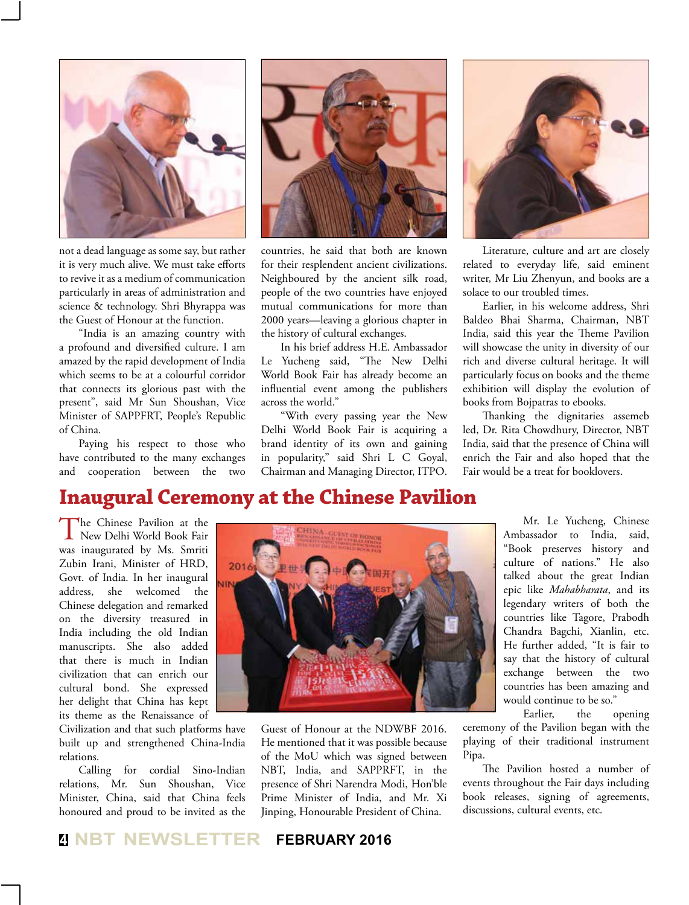

not a dead language as some say, but rather it is very much alive. We must take efforts to revive it as a medium of communication particularly in areas of administration and science & technology. Shri Bhyrappa was the Guest of Honour at the function.

"India is an amazing country with a profound and diversified culture. I am amazed by the rapid development of India which seems to be at a colourful corridor that connects its glorious past with the present", said Mr Sun Shoushan, Vice Minister of SAPPFRT, People's Republic of China.

Paying his respect to those who have contributed to the many exchanges and cooperation between the two



countries, he said that both are known for their resplendent ancient civilizations. Neighboured by the ancient silk road, people of the two countries have enjoyed mutual communications for more than 2000 years—leaving a glorious chapter in the history of cultural exchanges.

In his brief address H.E. Ambassador Le Yucheng said, "The New Delhi World Book Fair has already become an influential event among the publishers across the world."

"With every passing year the New Delhi World Book Fair is acquiring a brand identity of its own and gaining in popularity," said Shri L C Goyal, Chairman and Managing Director, ITPO.



Literature, culture and art are closely related to everyday life, said eminent writer, Mr Liu Zhenyun, and books are a solace to our troubled times.

Earlier, in his welcome address, Shri Baldeo Bhai Sharma, Chairman, NBT India, said this year the Theme Pavilion will showcase the unity in diversity of our rich and diverse cultural heritage. It will particularly focus on books and the theme exhibition will display the evolution of books from Bojpatras to ebooks.

Thanking the dignitaries assemeb led, Dr. Rita Chowdhury, Director, NBT India, said that the presence of China will enrich the Fair and also hoped that the Fair would be a treat for booklovers.

#### **Inaugural Ceremony at the Chinese Pavilion**

The Chinese Pavilion at the New Delhi World Book Fair was inaugurated by Ms. Smriti Zubin Irani, Minister of HRD, Govt. of India. In her inaugural address, she welcomed the Chinese delegation and remarked on the diversity treasured in India including the old Indian manuscripts. She also added that there is much in Indian civilization that can enrich our cultural bond. She expressed her delight that China has kept its theme as the Renaissance of

Civilization and that such platforms have built up and strengthened China-India relations.

Calling for cordial Sino-Indian relations, Mr. Sun Shoushan, Vice Minister, China, said that China feels honoured and proud to be invited as the



Guest of Honour at the NDWBF 2016. He mentioned that it was possible because of the MoU which was signed between NBT, India, and SAPPRFT, in the presence of Shri Narendra Modi, Hon'ble Prime Minister of India, and Mr. Xi Jinping, Honourable President of China.

Mr. Le Yucheng, Chinese Ambassador to India, said, "Book preserves history and culture of nations." He also talked about the great Indian epic like *Mahabharata*, and its legendary writers of both the countries like Tagore, Prabodh Chandra Bagchi, Xianlin, etc. He further added, "It is fair to say that the history of cultural exchange between the two countries has been amazing and would continue to be so."

Earlier, the opening ceremony of the Pavilion began with the playing of their traditional instrument Pipa.

The Pavilion hosted a number of events throughout the Fair days including book releases, signing of agreements, discussions, cultural events, etc.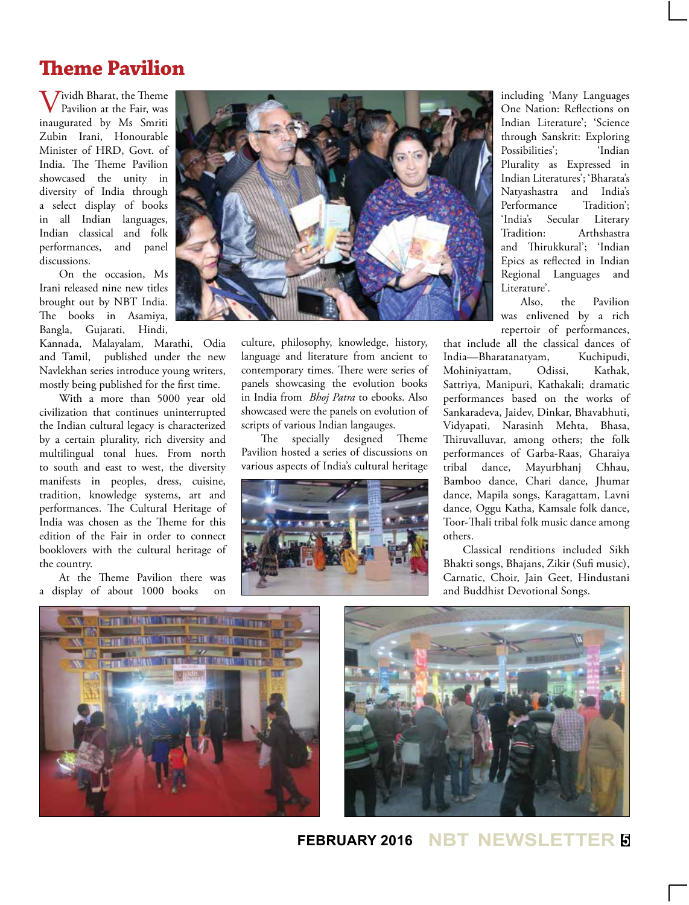#### **Theme Pavilion**

Vividh Bharat, the Theme Pavilion at the Fair, was inaugurated by Ms Smriti Zubin Irani, Honourable Minister of HRD, Govt. of India. The Theme Pavilion showcased the unity in diversity of India through a select display of books in all Indian languages, Indian classical and folk performances, and panel discussions.

On the occasion, Ms Irani released nine new titles brought out by NBT India. The books in Asamiya, Bangla, Gujarati, Hindi,

Kannada, Malayalam, Marathi, Odia and Tamil, published under the new Navlekhan series introduce young writers, mostly being published for the first time.

With a more than 5000 year old civilization that continues uninterrupted the Indian cultural legacy is characterized by a certain plurality, rich diversity and multilingual tonal hues. From north to south and east to west, the diversity manifests in peoples, dress, cuisine, tradition, knowledge systems, art and performances. The Cultural Heritage of India was chosen as the Theme for this edition of the Fair in order to connect booklovers with the cultural heritage of the country.

At the Theme Pavilion there was a display of about 1000 books on



culture, philosophy, knowledge, history, language and literature from ancient to contemporary times. There were series of panels showcasing the evolution books in India from *Bhoj Patra* to ebooks. Also showcased were the panels on evolution of scripts of various Indian langauges.

The specially designed Theme Pavilion hosted a series of discussions on various aspects of India's cultural heritage



including 'Many Languages One Nation: Reflections on Indian Literature'; 'Science through Sanskrit: Exploring Possibilities'; Plurality as Expressed in Indian Literatures'; 'Bharata's Natyashastra and India's Performance 'India's Secular Literary Tradition: Arthshastra and Thirukkural'; 'Indian Epics as reflected in Indian Regional Languages and Literature'.

Also, the Pavilion was enlivened by a rich repertoir of performances,

that include all the classical dances of India—Bharatanatyam, Kuchipudi, Mohiniyattam, Odissi, Kathak, Sattriya, Manipuri, Kathakali; dramatic performances based on the works of Sankaradeva, Jaidev, Dinkar, Bhavabhuti, Vidyapati, Narasinh Mehta, Bhasa, Thiruvalluvar, among others; the folk performances of Garba-Raas, Gharaiya tribal dance, Mayurbhanj Chhau, Bamboo dance, Chari dance, Jhumar dance, Mapila songs, Karagattam, Lavni dance, Oggu Katha, Kamsale folk dance, Toor-Thali tribal folk music dance among others.

Classical renditions included Sikh Bhakti songs, Bhajans, Zikir (Sufi music), Carnatic, Choir, Jain Geet, Hindustani and Buddhist Devotional Songs.





**FEBRUARY 2016 NBT NEWSLETTER <sup>5</sup>**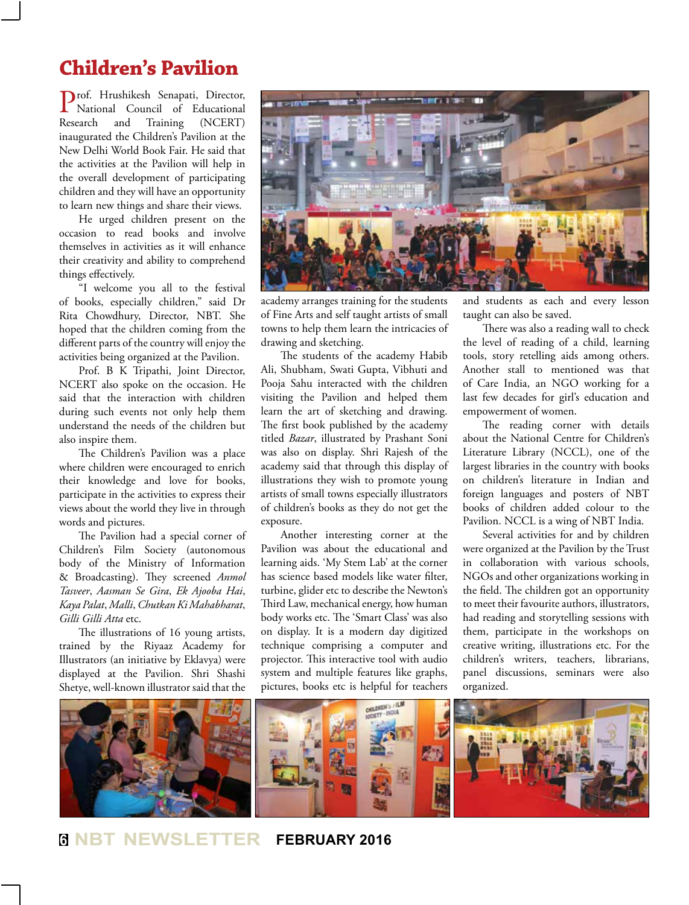#### **Children's Pavilion**

Prof. Hrushikesh Senapati, Director, National Council of Educational Research and Training (NCERT) inaugurated the Children's Pavilion at the New Delhi World Book Fair. He said that the activities at the Pavilion will help in the overall development of participating children and they will have an opportunity to learn new things and share their views.

He urged children present on the occasion to read books and involve themselves in activities as it will enhance their creativity and ability to comprehend things effectively.

"I welcome you all to the festival of books, especially children," said Dr Rita Chowdhury, Director, NBT. She hoped that the children coming from the different parts of the country will enjoy the activities being organized at the Pavilion.

Prof. B K Tripathi, Joint Director, NCERT also spoke on the occasion. He said that the interaction with children during such events not only help them understand the needs of the children but also inspire them.

The Children's Pavilion was a place where children were encouraged to enrich their knowledge and love for books, participate in the activities to express their views about the world they live in through words and pictures.

The Pavilion had a special corner of Children's Film Society (autonomous body of the Ministry of Information & Broadcasting). They screened *Anmol Tasveer*, *Aasman Se Gira*, *Ek Ajooba Hai*, *Kaya Palat*, *Malli*, *Chutkan Ki Mahabharat*, *Gilli Gilli Atta* etc.

The illustrations of 16 young artists, trained by the Riyaaz Academy for Illustrators (an initiative by Eklavya) were displayed at the Pavilion. Shri Shashi Shetye, well-known illustrator said that the



academy arranges training for the students of Fine Arts and self taught artists of small towns to help them learn the intricacies of drawing and sketching.

The students of the academy Habib Ali, Shubham, Swati Gupta, Vibhuti and Pooja Sahu interacted with the children visiting the Pavilion and helped them learn the art of sketching and drawing. The first book published by the academy titled *Bazar*, illustrated by Prashant Soni was also on display. Shri Rajesh of the academy said that through this display of illustrations they wish to promote young artists of small towns especially illustrators of children's books as they do not get the exposure.

Another interesting corner at the Pavilion was about the educational and learning aids. 'My Stem Lab' at the corner has science based models like water filter, turbine, glider etc to describe the Newton's Third Law, mechanical energy, how human body works etc. The 'Smart Class' was also on display. It is a modern day digitized technique comprising a computer and projector. This interactive tool with audio system and multiple features like graphs, pictures, books etc is helpful for teachers

and students as each and every lesson taught can also be saved.

There was also a reading wall to check the level of reading of a child, learning tools, story retelling aids among others. Another stall to mentioned was that of Care India, an NGO working for a last few decades for girl's education and empowerment of women.

The reading corner with details about the National Centre for Children's Literature Library (NCCL), one of the largest libraries in the country with books on children's literature in Indian and foreign languages and posters of NBT books of children added colour to the Pavilion. NCCL is a wing of NBT India.

Several activities for and by children were organized at the Pavilion by the Trust in collaboration with various schools, NGOs and other organizations working in the field. The children got an opportunity to meet their favourite authors, illustrators, had reading and storytelling sessions with them, participate in the workshops on creative writing, illustrations etc. For the children's writers, teachers, librarians, panel discussions, seminars were also organized.



**<sup>6</sup> NBT NEWSLETTER FEBRUARY 2016**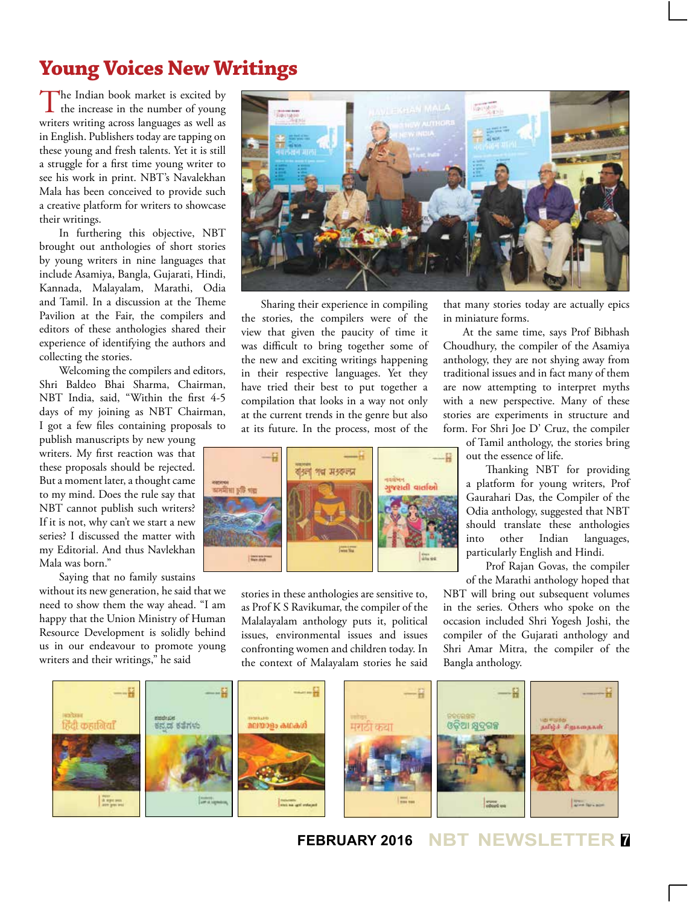# **Young Voices New Writings**

The Indian book market is excited by  $\mathbf{\mathbf{I}}$  the increase in the number of young writers writing across languages as well as in English. Publishers today are tapping on these young and fresh talents. Yet it is still a struggle for a first time young writer to see his work in print. NBT's Navalekhan Mala has been conceived to provide such a creative platform for writers to showcase their writings.

In furthering this objective, NBT brought out anthologies of short stories by young writers in nine languages that include Asamiya, Bangla, Gujarati, Hindi, Kannada, Malayalam, Marathi, Odia and Tamil. In a discussion at the Theme Pavilion at the Fair, the compilers and editors of these anthologies shared their experience of identifying the authors and collecting the stories.

Welcoming the compilers and editors, Shri Baldeo Bhai Sharma, Chairman, NBT India, said, "Within the first 4-5 days of my joining as NBT Chairman, I got a few files containing proposals to

publish manuscripts by new young writers. My first reaction was that these proposals should be rejected. But a moment later, a thought came to my mind. Does the rule say that NBT cannot publish such writers? If it is not, why can't we start a new series? I discussed the matter with my Editorial. And thus Navlekhan Mala was born."

Saying that no family sustains without its new generation, he said that we

need to show them the way ahead. "I am happy that the Union Ministry of Human Resource Development is solidly behind us in our endeavour to promote young writers and their writings," he said



Sharing their experience in compiling the stories, the compilers were of the view that given the paucity of time it was difficult to bring together some of the new and exciting writings happening in their respective languages. Yet they have tried their best to put together a compilation that looks in a way not only at the current trends in the genre but also at its future. In the process, most of the



stories in these anthologies are sensitive to, as Prof K S Ravikumar, the compiler of the Malalayalam anthology puts it, political issues, environmental issues and issues confronting women and children today. In the context of Malayalam stories he said

that many stories today are actually epics in miniature forms.

At the same time, says Prof Bibhash Choudhury, the compiler of the Asamiya anthology, they are not shying away from traditional issues and in fact many of them are now attempting to interpret myths with a new perspective. Many of these stories are experiments in structure and form. For Shri Joe D' Cruz, the compiler

> of Tamil anthology, the stories bring out the essence of life.

Thanking NBT for providing a platform for young writers, Prof Gaurahari Das, the Compiler of the Odia anthology, suggested that NBT should translate these anthologies into other Indian languages, particularly English and Hindi.

Prof Rajan Govas, the compiler of the Marathi anthology hoped that

NBT will bring out subsequent volumes in the series. Others who spoke on the occasion included Shri Yogesh Joshi, the compiler of the Gujarati anthology and Shri Amar Mitra, the compiler of the Bangla anthology.



**FEBRUARY 2016 NBT NEWSLETTER <sup>7</sup>**